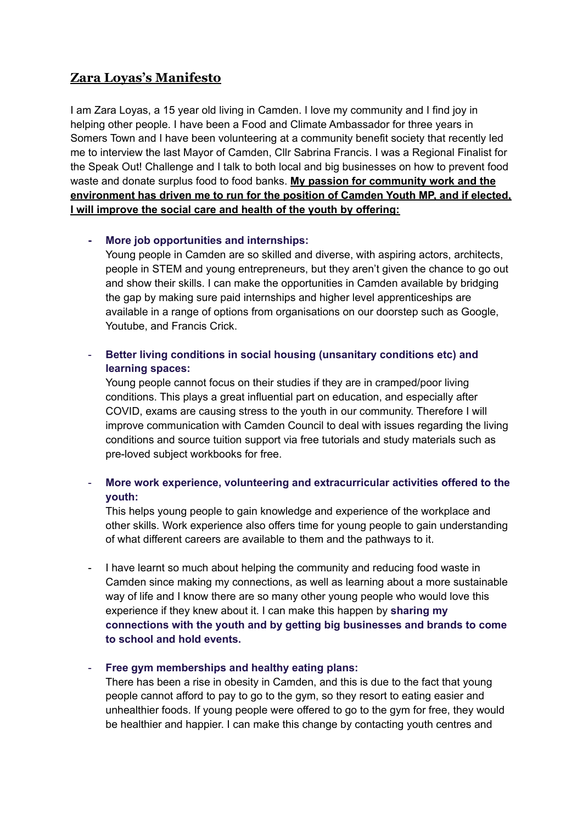# **Zara Loyas's Manifesto**

I am Zara Loyas, a 15 year old living in Camden. I love my community and I find joy in helping other people. I have been a Food and Climate Ambassador for three years in Somers Town and I have been volunteering at a community benefit society that recently led me to interview the last Mayor of Camden, Cllr Sabrina Francis. I was a Regional Finalist for the Speak Out! Challenge and I talk to both local and big businesses on how to prevent food waste and donate surplus food to food banks. **My passion for community work and the environment has driven me to run for the position of Camden Youth MP, and if elected, I will improve the social care and health of the youth by offering:**

#### **- More job opportunities and internships:**

Young people in Camden are so skilled and diverse, with aspiring actors, architects, people in STEM and young entrepreneurs, but they aren't given the chance to go out and show their skills. I can make the opportunities in Camden available by bridging the gap by making sure paid internships and higher level apprenticeships are available in a range of options from organisations on our doorstep such as Google, Youtube, and Francis Crick.

## - **Better living conditions in social housing (unsanitary conditions etc) and learning spaces:**

Young people cannot focus on their studies if they are in cramped/poor living conditions. This plays a great influential part on education, and especially after COVID, exams are causing stress to the youth in our community. Therefore I will improve communication with Camden Council to deal with issues regarding the living conditions and source tuition support via free tutorials and study materials such as pre-loved subject workbooks for free.

## - **More work experience, volunteering and extracurricular activities offered to the youth:**

This helps young people to gain knowledge and experience of the workplace and other skills. Work experience also offers time for young people to gain understanding of what different careers are available to them and the pathways to it.

- I have learnt so much about helping the community and reducing food waste in Camden since making my connections, as well as learning about a more sustainable way of life and I know there are so many other young people who would love this experience if they knew about it. I can make this happen by **sharing my connections with the youth and by getting big businesses and brands to come to school and hold events.**

### - **Free gym memberships and healthy eating plans:**

There has been a rise in obesity in Camden, and this is due to the fact that young people cannot afford to pay to go to the gym, so they resort to eating easier and unhealthier foods. If young people were offered to go to the gym for free, they would be healthier and happier. I can make this change by contacting youth centres and